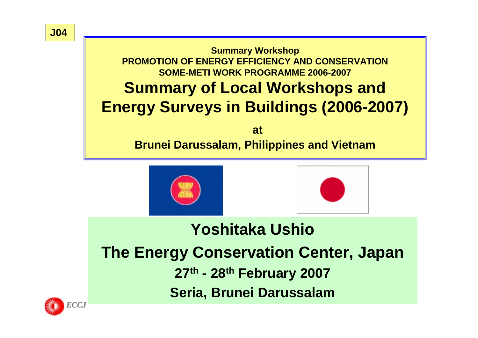

**Brunei Darussalam, Philippines and Vietnam**





## **Yoshitaka UshioThe Energy Conservation Center, Japan 27th - 28th February 2007 Seria, Brunei Darussalam**

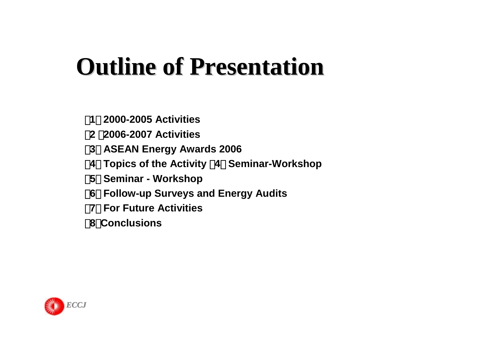# **Outline of Presentation Outline of Presentation**

- 【**1**】**2000-2005 Activities**
- 【**2** 】**2006-2007 Activities**
- 【**3**】 **ASEAN Energy Awards 2006**
	- 【**4**】**Topics of the Activity** (**4**) **Seminar-Workshop**
- 【**5**】 **Seminar - Workshop**
	- 【**6**】**Follow-up Surveys and Energy Audits**
- 【**7**】 **For Future Activities**
	- 【**8**】**Conclusions**

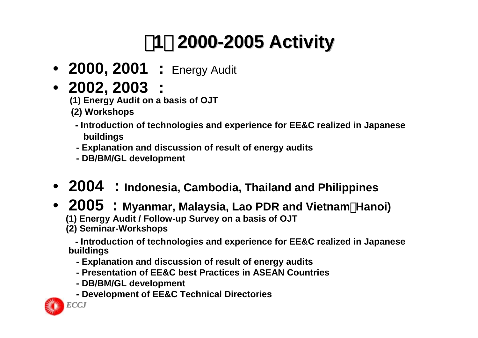## 【**1**】 **2000-2005 Activity 2005 Activity**

- **2000, 2001 :** Energy Audit
- **2002, 2003 :**

**(1) Energy Audit on a basis of OJT** 

- **(2) Workshops**
	- **- Introduction of technologies and experience for EE&C realized in Japanese buildings**
	- **- Explanation and discussion of result of energy audits**
	- **- DB/BM/GL development**

### • **2004 : Indonesia, Cambodia, Thailand and Philippines**

#### • **2005 : Myanmar, Malaysia, Lao PDR and Vietnam**(**Hanoi) (1) Energy Audit / Follow-up Survey on a basis of OJT (2) Seminar-Workshops**

**- Introduction of technologies and experience for EE&C realized in Japanese buildings**

- **- Explanation and discussion of result of energy audits**
- **- Presentation of EE&C best Practices in ASEAN Countries**
- **- DB/BM/GL development**
- **- Development of EE&C Technical Directories**

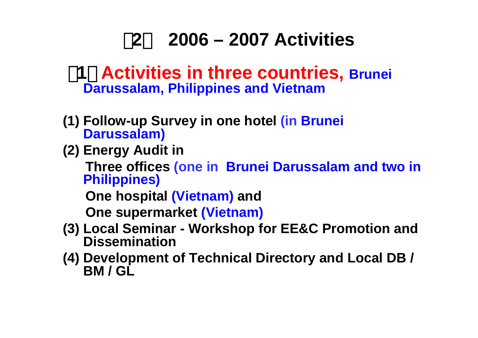#### 【**2**】**2006 – 2007 Activities**

#### 【**1**】 **Activities in three countries, Brunei Darussalam, Philippines and Vietnam**

- **(1) Follow-up Survey in one hotel (in Brunei Darussalam)**
- **(2) Energy Audit in**

**Three offices (one in Brunei Darussalam and two in Philippines)**

**One hospital (Vietnam) and**

**One supermarket (Vietnam)**

- **(3) Local Seminar - Workshop for EE&C Promotion and Dissemination**
- **(4) Development of Technical Directory and Local DB / BM / GL**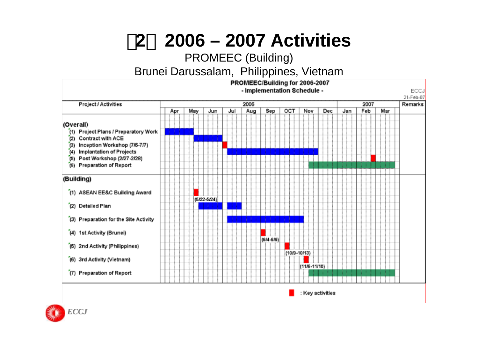【**2**】**2006 – 2007 Activities**

#### PROMEEC (Building)

Brunei Darussalam, Philippines, Vietnam



: Key activities

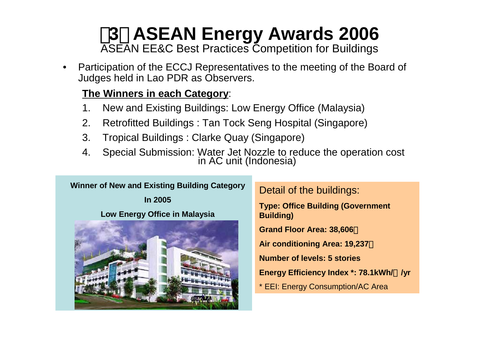# **3 ASEAN Energy Awards 2006**<br>ASEAN EE&C Best Practices Competition for Buildings

• Participation of the ECCJ Representatives to the meeting of the Board of Judges held in Lao PDR as Observers.

#### **The Winners in each Category**:

- 1. New and Existing Buildings: Low Energy Office (Malaysia)
- 2. Retrofitted Buildings : Tan Tock Seng Hospital (Singapore)
- 3. Tropical Buildings : Clarke Quay (Singapore)
- 4. Special Submission: Water Jet Nozzle to reduce the operation cost in AC unit (Indonesia)

#### **Winner of New and Existing Building Category**

**In 2005**

#### **Low Energy Office in Malaysia**



Detail of the buildings:

**Type: Office Building (Government Building)**

**Grand Floor Area: 38,606** 

**Air conditioning Area: 19,237** 

**Number of levels: 5 stories**

**Energy Efficiency Index \*: 78.1kWh/**㎡**/yr**

\* EEI: Energy Consumption/AC Area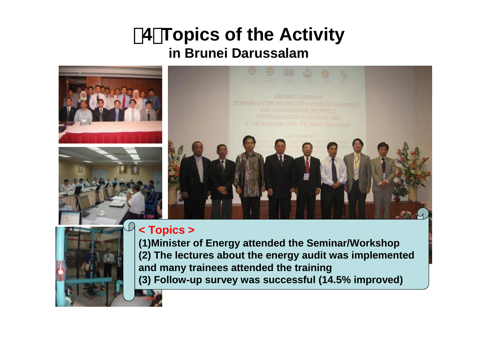### 【**4**】**Topics of the Activity in Brunei Darussalam**





#### **< Topics >**

**(1)Minister of Energy attended the Seminar/Workshop (2) The lectures about the energy audit was implemented and many trainees attended the training (3) Follow-up survey was successful (14.5% improved)**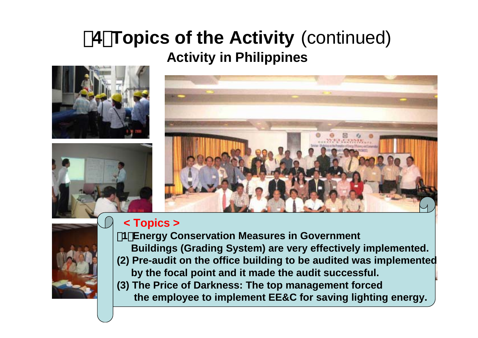## 【**4**】**Topics of the Activity** (continued) **Activity in Philippines**









#### **< Topics <sup>&</sup>gt;**

- (**1**)**Energy Conservation Measures in Government Buildings (Grading System) are very effectively implemented.**
- **(2) Pre-audit on the office building to be audited was implemented by the focal point and it made the audit successful.**
- **(3) The Price of Darkness: The top management forced the employee to implement EE&C for saving lighting energy.**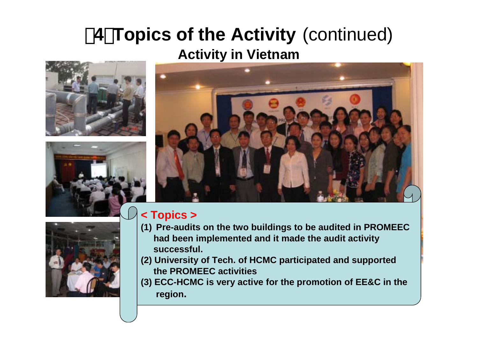## 【**4**】**Topics of the Activity** (continued) **Activity in Vietnam**









#### **< Topics >**

- **(1) Pre-audits on the two buildings to be audited in PROMEEC had been implemented and it made the audit activity successful.**
- **(2) University of Tech. of HCMC participated and supported the PROMEEC activities**
- **(3) ECC-HCMC is very active for the promotion of EE&C in the region.**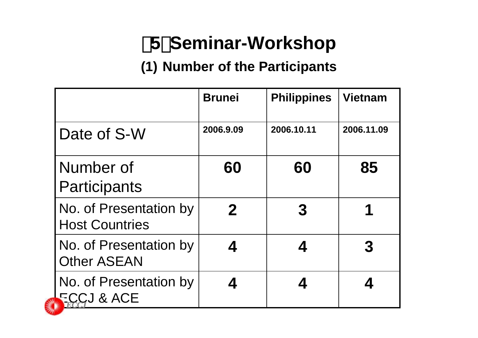## 【**5**】**Seminar-Workshop**

### **(1) Number of the Participants**

|                                                 | <b>Brunei</b> | <b>Philippines</b> | <b>Vietnam</b> |
|-------------------------------------------------|---------------|--------------------|----------------|
| Date of S-W                                     | 2006.9.09     | 2006.10.11         | 2006.11.09     |
| Number of<br><b>Participants</b>                | 60            | 60                 | 85             |
| No. of Presentation by<br><b>Host Countries</b> | $\mathbf 2$   | 3                  |                |
| No. of Presentation by<br><b>Other ASEAN</b>    |               |                    | 3              |
| No. of Presentation by<br><b>FCCJ &amp; ACE</b> |               |                    |                |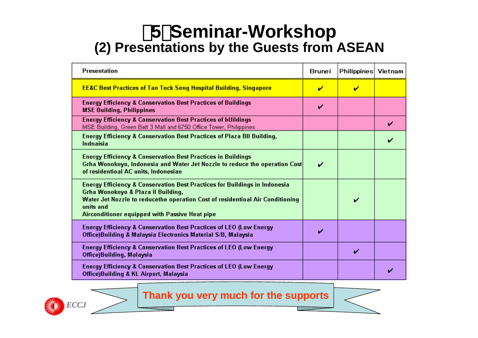### 【**5**】**Seminar-Workshop (2) Presentations by the Guests from ASEAN**

| <b>Presentation</b>                                                                                                                                                                                                                                                         | Brunei | Philippines Vietnam |  |
|-----------------------------------------------------------------------------------------------------------------------------------------------------------------------------------------------------------------------------------------------------------------------------|--------|---------------------|--|
| <b>EE&amp;C Best Practices of Tan Tock Seng Hospital Building, Singapore</b>                                                                                                                                                                                                | ↙      | ✔                   |  |
| <b>Energy Efficiency &amp; Conservation Best Practices of Buildings</b><br><b>MSE Building, Philippines</b>                                                                                                                                                                 | V      |                     |  |
| <b>Energy Efficiency &amp; Conservation Best Practices of bUildings</b><br>MSE Building, Green Belt 3 Mall and 6750 Office Tower, Philippines                                                                                                                               |        |                     |  |
| <b>Energy Efficiency &amp; Conservation Best Practices of Plaza BII Building,</b><br>Indnaisia                                                                                                                                                                              |        |                     |  |
| <b>Energy Efficiency &amp; Conservation Best Practices in Buildings</b><br>Grha Wonokoyo, Indonesia and Water Jet Nozzle to reduce the operation Cost<br>of residentioal AC units, Indonesian                                                                               | ✔      |                     |  |
| <b>Energy Efficiency &amp; Conservation Best Practices for Buildings in Indonesia</b><br>Grha Wonokoyo & Plaza II Building,<br>Water Jet Nozzle to reducethe operation Cost of residentioal Air Conditioning<br>units and<br>Airconditioner equipped with Passive Heat pipe |        |                     |  |
| Energy Efficiency & Conservation Best Practices of LEO (Low Energy<br>Office)Building & Malaysia Electronics Material S/B, Malaysia                                                                                                                                         | ✓      |                     |  |
| Energy Efficiency & Conservation Best Practices of LEO (Low Energy<br>Office)Building, Malaysia                                                                                                                                                                             |        | ✔                   |  |
| <b>Energy Efficiency &amp; Conservation Best Practices of LEO (Low Energy</b><br>Office)Building & KL Airport, Malaysia                                                                                                                                                     |        |                     |  |

#### **Thank you very much for the supports**

*ECCJ*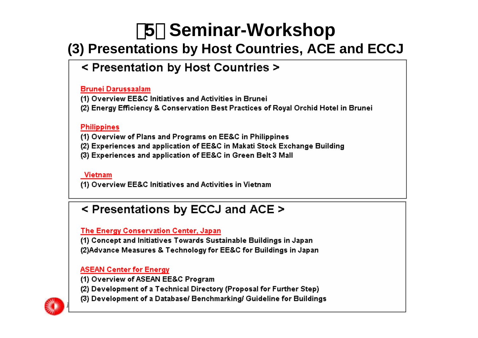### 【**5**】 **Seminar-Workshop**

### **(3) Presentations by Host Countries, ACE and ECCJ**

### < Presentation by Host Countries >

#### **Brunei Darussaalam**

(1) Overview EE&C Initiatives and Activities in Brunei

(2) Energy Efficiency & Conservation Best Practices of Royal Orchid Hotel in Brunei

#### **Philippines**

(1) Overview of Plans and Programs on EE&C in Philippines

(2) Experiences and application of EE&C in Makati Stock Exchange Building

(3) Experiences and application of EE&C in Green Belt 3 Mall

#### Vietnam

(1) Overview EE&C Initiatives and Activities in Vietnam

#### < Presentations by ECCJ and ACE >

#### The Energy Conservation Center, Japan

(1) Concept and Initiatives Towards Sustainable Buildings in Japan (2) Advance Measures & Technology for EE&C for Buildings in Japan

#### **ASEAN Center for Energy**

(1) Overview of ASEAN EE&C Program

(2) Development of a Technical Directory (Proposal for Further Step)

(3) Development of a Database/ Benchmarking/ Guideline for Buildings *ECCJ*

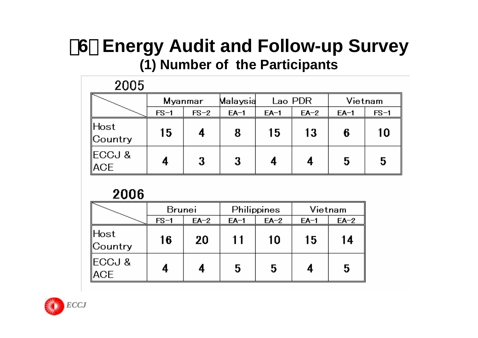## 【**6**】 **Energy Audit and Follow-up Survey (1) Number of the Participants**

#### 2005 Lao PDR **Myanmar** Malaysia Vietnam  $EA-1$  $FS-1$  $FS-2$  $EA-1$  $FA-2$  $EA-1$  $FS-1$ lHost 10 15 4 8 15 13 6 Country IECCJ & 4 3 3 5 4 4 5 **ACE**

#### 2006

|                              | <b>Brunei</b> |        |        | Philippines | Vietnam |        |  |
|------------------------------|---------------|--------|--------|-------------|---------|--------|--|
|                              | $FS-1$        | $EA-2$ | $EA-1$ | $EA-2$      | $EA-1$  | $EA-2$ |  |
| ∥Host<br>$\mathbb{C}$ ountry | 16            | 20     | 11     | 10          | 15      | 14     |  |
| ∥ECCJ &<br>∥ACE              | 4             |        | 5      | 5           |         | 5      |  |

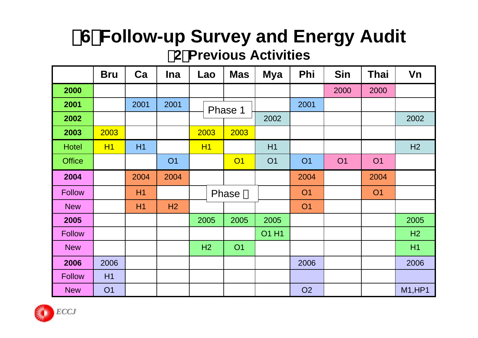## 【**6**】**Follow-up Survey and Energy Audit** (**2**)**Previous Activities**

|               | <b>Bru</b> | Ca             | <b>Ina</b> | Lao  | <b>Mas</b>     | <b>Mya</b>   | Phi       | <b>Sin</b> | <b>Thai</b> | Vn            |
|---------------|------------|----------------|------------|------|----------------|--------------|-----------|------------|-------------|---------------|
| 2000          |            |                |            |      |                |              |           | 2000       | 2000        |               |
| 2001          |            | 2001           | 2001       |      | Phase 1        |              | 2001      |            |             |               |
| 2002          |            |                |            |      |                | 2002         |           |            |             | 2002          |
| 2003          | 2003       |                |            | 2003 | 2003           |              |           |            |             |               |
| <b>Hotel</b>  | <b>H1</b>  | H <sub>1</sub> |            | H1   |                | H1           |           |            |             | H2            |
| <b>Office</b> |            |                | <b>O1</b>  |      | O <sub>1</sub> | <b>O1</b>    | <b>O1</b> | <b>O1</b>  | <b>O1</b>   |               |
| 2004          |            | 2004           | 2004       |      |                |              | 2004      |            | 2004        |               |
| <b>Follow</b> |            | H <sub>1</sub> |            |      | Phase          |              | <b>O1</b> |            | <b>O1</b>   |               |
| <b>New</b>    |            | H1             | H2         |      |                |              | <b>O1</b> |            |             |               |
| 2005          |            |                |            | 2005 | 2005           | 2005         |           |            |             | 2005          |
| <b>Follow</b> |            |                |            |      |                | <b>O1 H1</b> |           |            |             | H2            |
| <b>New</b>    |            |                |            | H2   | <b>O1</b>      |              |           |            |             | H1            |
| 2006          | 2006       |                |            |      |                |              | 2006      |            |             | 2006          |
| <b>Follow</b> | H1         |                |            |      |                |              |           |            |             |               |
| <b>New</b>    | <b>O1</b>  |                |            |      |                |              | <b>O2</b> |            |             | <b>M1,HP1</b> |

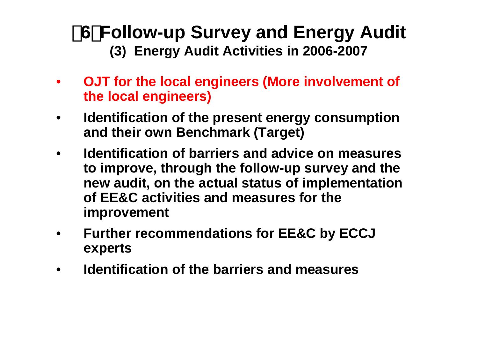## 【**6**】**Follow-up Survey and Energy Audit (3) Energy Audit Activities in 2006-2007**

- • **OJT for the local engineers (More involvement of the local engineers)**
- • **Identification of the present energy consumption and their own Benchmark (Target)**
- • **Identification of barriers and advice on measures to improve, through the follow-up survey and the new audit, on the actual status of implementation of EE&C activities and measures for the improvement**
- • **Further recommendations for EE&C by ECCJ experts**
- •**Identification of the barriers and measures**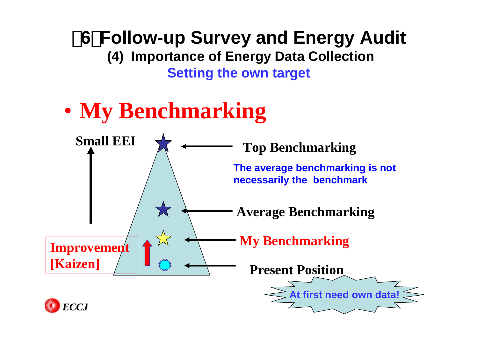【**6**】**Follow-up Survey and Energy Audit (4) Importance of Energy Data Collection Setting the own target**

#### $\bullet$ **My Benchmarking**



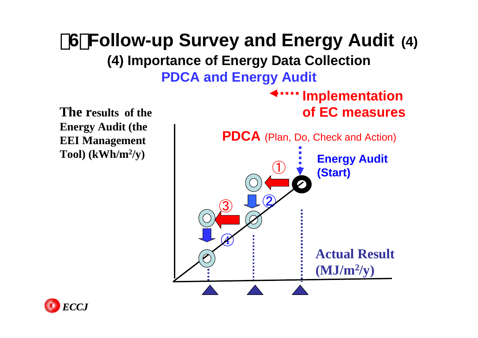## 【**6**】**Follow-up Survey and Energy Audit (4) (4) Importance of Energy Data Collection PDCA and Energy Audit**

**The results of the Energy Audit (the EEI Management Tool) (kWh/m2/y)**



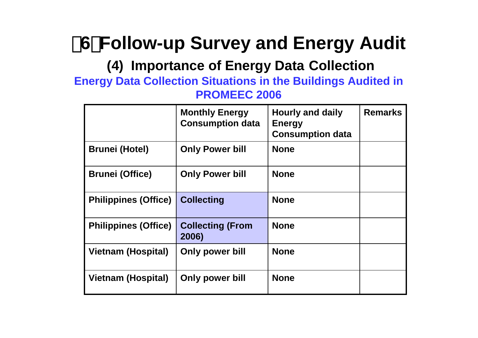【**6**】**Follow-up Survey and Energy Audit**

### **(4) Importance of Energy Data Collection**

#### **Energy Data Collection Situations in the Buildings Audited in PROMEEC 2006**

|                             | <b>Monthly Energy</b><br><b>Consumption data</b> | <b>Hourly and daily</b><br><b>Energy</b><br><b>Consumption data</b> | <b>Remarks</b> |
|-----------------------------|--------------------------------------------------|---------------------------------------------------------------------|----------------|
| <b>Brunei (Hotel)</b>       | <b>Only Power bill</b>                           | <b>None</b>                                                         |                |
| <b>Brunei (Office)</b>      | <b>Only Power bill</b>                           | <b>None</b>                                                         |                |
| <b>Philippines (Office)</b> | <b>Collecting</b>                                | <b>None</b>                                                         |                |
| <b>Philippines (Office)</b> | <b>Collecting (From</b><br>2006)                 | <b>None</b>                                                         |                |
| <b>Vietnam (Hospital)</b>   | <b>Only power bill</b>                           | <b>None</b>                                                         |                |
| <b>Vietnam (Hospital)</b>   | Only power bill                                  | <b>None</b>                                                         |                |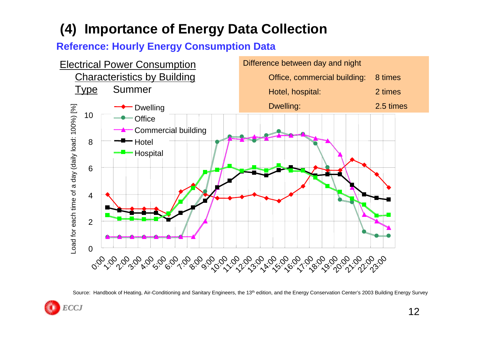#### **(4) Importance of Energy Data Collection**

#### **Reference: Hourly Energy Consumption Data**



Source: Handbook of Heating, Air-Conditioning and Sanitary Engineers, the 13<sup>th</sup> edition, and the Energy Conservation Center's 2003 Building Energy Survey

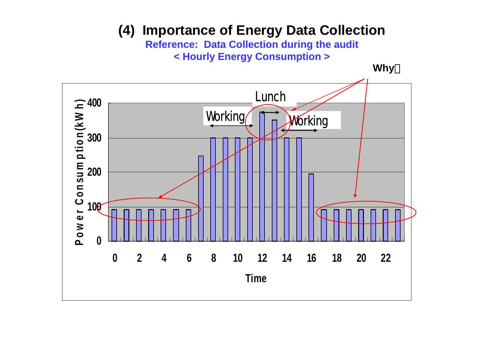### **(4) Importance of Energy Data Collection**

**Reference: Data Collection during the audit < Hourly Energy Consumption >**

**Why** 

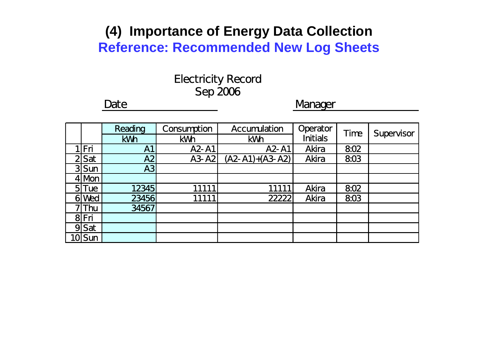### **(4) Importance of Energy Data Collection Reference: Recommended New Log Sheets**

### Electricity Record Sep 2006

#### Date **Date** Manager

|    |            | Reading    | Consumption | <b>Accumulation</b> | Operator        | Time | Supervisor |
|----|------------|------------|-------------|---------------------|-----------------|------|------------|
|    |            | <b>kWh</b> | <b>kWh</b>  | <b>kWh</b>          | <b>Initials</b> |      |            |
|    | Fri        | <b>A1</b>  | A2-A1       | A2-A1               | <b>Akira</b>    | 802  |            |
|    | $2$ Sat    | A2         | $A3- A2$    | $(A2-A1)+(A3-A2)$   | <b>Akira</b>    | 803  |            |
|    | $3$ Sun    | A3         |             |                     |                 |      |            |
|    | $4$ Mbn    |            |             |                     |                 |      |            |
|    | $5$ Tue    | 12345      | 11111       | 11111               | <b>Akira</b>    | 802  |            |
| 61 | <b>Ned</b> | 23456      | 11111       | 22222               | <b>Akira</b>    | 803  |            |
|    | <b>Thu</b> | 34567      |             |                     |                 |      |            |
|    | 8Fri       |            |             |                     |                 |      |            |
| 9  | Sat        |            |             |                     |                 |      |            |
|    | <b>Sun</b> |            |             |                     |                 |      |            |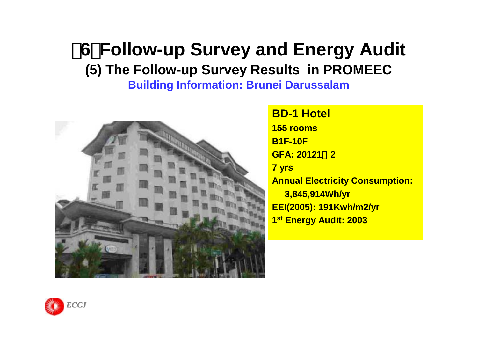### 【**6**】**Follow-up Survey and Energy Audit (5) The Follow-up Survey Results in PROMEEC Building Information: Brunei Darussalam**



**BD-1 Hotel155 roomsB1F-10F GFA: 20121**m**2 7 yrs Annual Electricity Consumption: 3,845,914Wh/yr EEI(2005): 191Kwh/m2/yr 1s<sup>t</sup> Energy Audit: 2003**

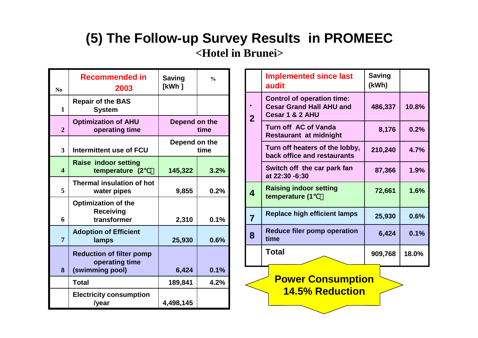### **(5) The Follow-up Survey Results in PROMEEC <Hotel in Brunei>**

| N <sub>0</sub>          | <b>Recommended in</b><br>2003                                        | <b>Saving</b><br>[kWh ] | $\frac{0}{0}$ |
|-------------------------|----------------------------------------------------------------------|-------------------------|---------------|
| $\mathbf{1}$            | <b>Repair of the BAS</b><br><b>System</b>                            |                         |               |
| $\overline{2}$          | <b>Optimization of AHU</b><br>operating time                         | Depend on the           | time          |
| $\overline{\mathbf{3}}$ | <b>Intermittent use of FCU</b>                                       | Depend on the           | time          |
| $\overline{\mathbf{4}}$ | <b>Raise indoor setting</b><br>temperature (2)                       | 145,322                 | 3.2%          |
| 5                       | <b>Thermal insulation of hot</b><br>water pipes                      | 9,855                   | 0.2%          |
| 6                       | <b>Optimization of the</b><br><b>Receiving</b><br>transformer        | 2,310                   | 0.1%          |
| 7                       | <b>Adoption of Efficient</b><br>lamps                                | 25,930                  | 0.6%          |
| 8                       | <b>Reduction of filter pomp</b><br>operating time<br>(swimming pool) | 6,424                   | 0.1%          |
|                         | <b>Total</b>                                                         | 189,841                 | 4.2%          |
|                         | <b>Electricity consumption</b><br>/year                              | 4,498,145               |               |

|                                                    | <b>Implemented since last</b><br>audit                                                  | <b>Saving</b><br>(kWh) |       |  |  |  |  |  |
|----------------------------------------------------|-----------------------------------------------------------------------------------------|------------------------|-------|--|--|--|--|--|
| $\overline{2}$                                     | <b>Control of operation time:</b><br><b>Cesar Grand Hall AHU and</b><br>Cesar 1 & 2 AHU | 486,337                | 10.8% |  |  |  |  |  |
|                                                    | Turn off AC of Vanda<br><b>Restaurant at midnight</b>                                   | 8,176                  | 0.2%  |  |  |  |  |  |
|                                                    | Turn off heaters of the lobby,<br>back office and restaurants                           | 210,240                | 4.7%  |  |  |  |  |  |
|                                                    | Switch off the car park fan<br>at 22:30 -6:30                                           | 87,366                 | 1.9%  |  |  |  |  |  |
| 4                                                  | <b>Raising indoor setting</b><br>temperature (1                                         | 72,661                 | 1.6%  |  |  |  |  |  |
| 7                                                  | <b>Replace high efficient lamps</b>                                                     | 25,930                 | 0.6%  |  |  |  |  |  |
| 8                                                  | <b>Reduce filer pomp operation</b><br>time                                              | 6,424                  | 0.1%  |  |  |  |  |  |
|                                                    | Total                                                                                   | 909,768                | 18.0% |  |  |  |  |  |
| <b>Power Consumption</b><br><b>14.5% Reduction</b> |                                                                                         |                        |       |  |  |  |  |  |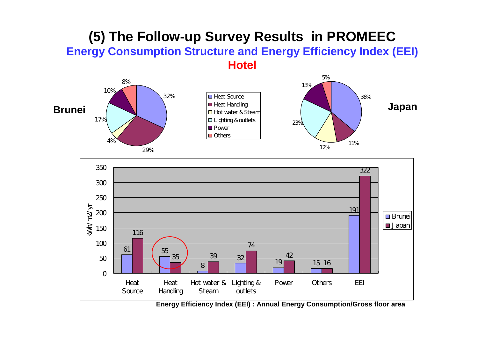#### **(5) The Follow-up Survey Results in PROMEEC Energy Consumption Structure and Energy Efficiency Index (EEI) Hotel**





**Energy Efficiency Index (EEI) : Annual Energy Consumption/Gross floor area**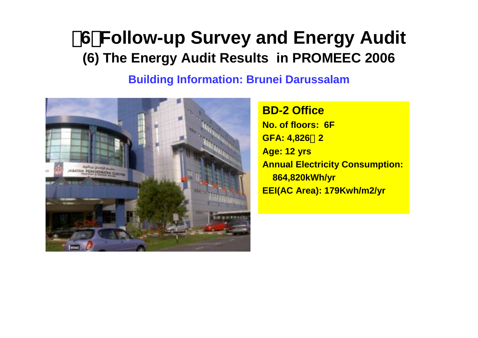## 【**6**】**Follow-up Survey and Energy Audit (6) The Energy Audit Results in PROMEEC 2006**

#### **Building Information: Brunei Darussalam**



**BD-2 OfficeNo. of floors: 6F GFA: 4,826**m**2 Age: 12 yrs Annual Electricity Consumption: 864,820kWh/yr EEI(AC Area): 179Kwh/m2/yr**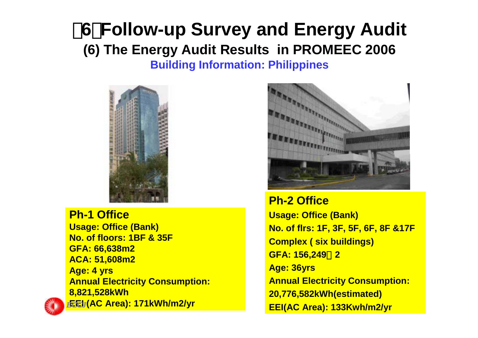### 【**6**】**Follow-up Survey and Energy Audit (6) The Energy Audit Results in PROMEEC 2006 Building Information: Philippines**



**Ph-1 OfficeUsage: Office (Bank) No. of floors: 1BF & 35FGFA: 66,638m2 ACA: 51,608m2 Age: 4 yrs Annual Electricity Consumption: 8,821,528kWh EEI (AC Area): 171kWh/m2/yr** *ECCJ*



**Ph-2 OfficeUsage: Office (Bank) No. of flrs: 1F, 3F, 5F, 6F, 8F &17F Complex ( six buildings) GFA: 156,249**m**2 Age: 36yrs Annual Electricity Consumption: 20,776,582kWh(estimated) EEI(AC Area): 133Kwh/m2/yr**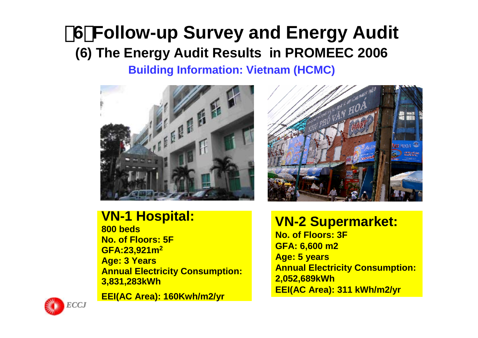### 【**6**】**Follow-up Survey and Energy Audit (6) The Energy Audit Results in PROMEEC 2006 Building Information: Vietnam (HCMC)**





**800 bedsNo. of Floors: 5FGFA:23,921m<sup>2</sup> Age: 3 Years Annual Electricity Consumption: 3,831,283kWh**

**EEI(AC Area): 160Kwh/m2/yr**



#### **VN-2 Supermarket:**

**No. of Floors: 3FGFA: 6,600 m2 Age: 5 years Annual Electricity Consumption: 2,052,689kWh EEI(AC Area): 311 kWh/m2/yr**

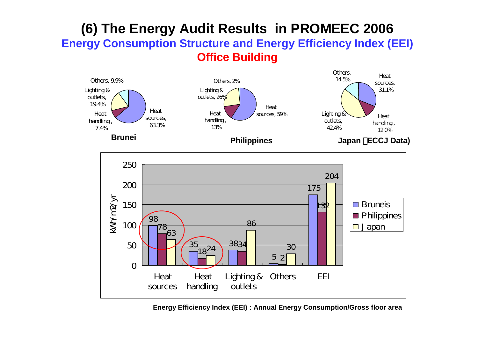#### **(6) The Energy Audit Results in PROMEEC 2006 Energy Consumption Structure and Energy Efficiency Index (EEI) Office Building**



**Energy Efficiency Index (EEI) : Annual Energy Consumption/Gross floor area**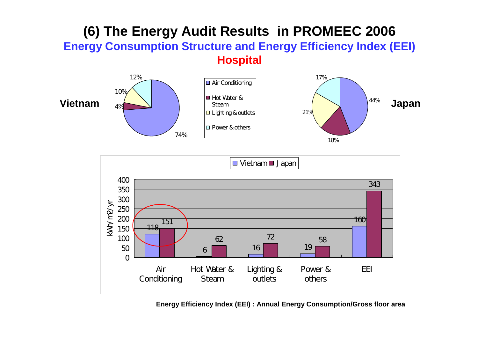### **(6) The Energy Audit Results in PROMEEC 2006 Energy Consumption Structure and Energy Efficiency Index (EEI) Hospital**





**Energy Efficiency Index (EEI) : Annual Energy Consumption/Gross floor area**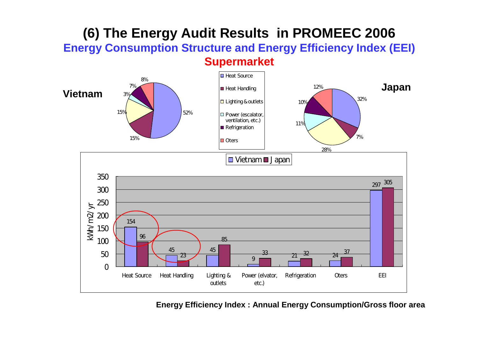#### **(6) The Energy Audit Results in PROMEEC 2006 Energy Consumption Structure and Energy Efficiency Index (EEI) Supermarket**



**Energy Efficiency Index : Annual Energy Consumption/Gross floor area**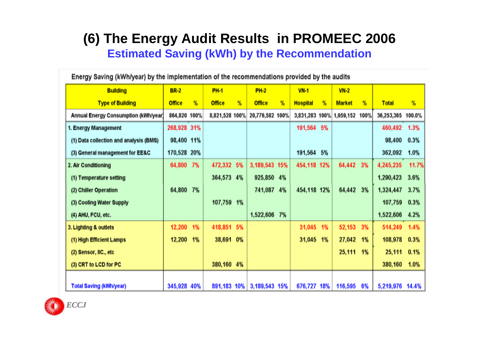### **(6) The Energy Audit Results in PROMEEC 2006 Estimated Saving (kWh) by the Recommendation**

Forem: Coulon UANishnot built a local anglos entation of the recommendations provided by the sydder

| Energy Saving (kwn/year) by the implementation of the recommendations provided by the audits |               |    |                |               |                              |      |                 |    |                          |      |                   |       |
|----------------------------------------------------------------------------------------------|---------------|----|----------------|---------------|------------------------------|------|-----------------|----|--------------------------|------|-------------------|-------|
| <b>Building</b>                                                                              | <b>BR-2</b>   |    | <b>PH-1</b>    |               | <b>PH-2</b>                  |      | $VN-1$          |    | $VN-2$                   |      |                   |       |
| <b>Type of Building</b>                                                                      | <b>Office</b> | %  | <b>Office</b>  | $\frac{9}{6}$ | <b>Office</b>                | $\%$ | <b>Hospital</b> | %  | <b>Market</b>            | %    | <b>Total</b>      | %     |
| Annual Energy Consumption (kWh/year)                                                         | 864,820 100%  |    | 8,821,528 100% |               | 20,776,582 100%              |      |                 |    | 3,831,283 100% 1,959,152 | 100% | 36,253,365 100.0% |       |
| 1. Energy Management                                                                         | 268,928 31%   |    |                |               |                              |      | 191,564 5%      |    |                          |      | 460,492           | 1.3%  |
| (1) Data collection and analysis (BMS)                                                       | 98,400 11%    |    |                |               |                              |      |                 |    |                          |      | 98,400            | 0.3%  |
| (3) General management for EE&C                                                              | 170,528 20%   |    |                |               |                              |      | 191,564         | 5% |                          |      | 362,092           | 1.0%  |
| 2. Air Conditioning                                                                          | 64,800        | 7% | 472,332 5%     |               | 3, 189, 543 15%              |      | 454,118 12%     |    | 64,442                   | 3%   | 4,245,235         | 11.7% |
| (1) Temperature setting                                                                      |               |    | 364,573 4%     |               | 925,850 4%                   |      |                 |    |                          |      | 1,290,423         | 3.6%  |
| (2) Chiller Operation                                                                        | 64,800 7%     |    |                |               | 741,087                      | 4%   | 454,118 12%     |    | 64,442                   | 3%   | 1,324,447         | 3.7%  |
| (3) Cooling Water Supply                                                                     |               |    | 107,759 1%     |               |                              |      |                 |    |                          |      | 107,759           | 0.3%  |
| (4) AHU, FCU, etc.                                                                           |               |    |                |               | 1,522,606                    | 7%   |                 |    |                          |      | 1,522,606         | 4.2%  |
| 3. Lighting & outlets                                                                        | 12,200        | 1% | 418,851        | 5%            |                              |      | 31,045          | 1% | 52,153                   | 3%   | 514,249           | 1.4%  |
| (1) High Efficient Lamps                                                                     | 12,200        | 1% | 38,691         | 0%            |                              |      | 31,045          | 1% | 27,042                   | 1%   | 108,978           | 0.3%  |
| (2) Sensor, IIC., etc                                                                        |               |    |                |               |                              |      |                 |    | 25,111                   | 1%   | 25,111            | 0.1%  |
| (3) CRT to LCD for PC                                                                        |               |    | 380,160 4%     |               |                              |      |                 |    |                          |      | 380,160           | 1.0%  |
|                                                                                              |               |    |                |               |                              |      |                 |    |                          |      |                   |       |
| <b>Total Saving (kWh/year)</b>                                                               | 345,928 40%   |    |                |               | 891, 183 10% 3, 189, 543 15% |      | 676,727 18%     |    | 116,595                  | 6%   | 5,219,976 14.4%   |       |

*ECCJ*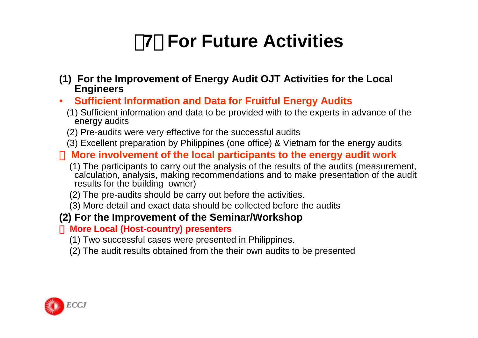## 【**7**】 **For Future Activities**

- **(1) For the Improvement of Energy Audit OJT Activities for the Local Engineers**
- • **Sufficient Information and Data for Fruitful Energy Audits**
	- (1) Sufficient information and data to be provided with to the experts in advance of the energy audits
	- (2) Pre-audits were very effective for the successful audits
	- (3) Excellent preparation by Philippines (one office) & Vietnam for the energy audits

#### **More involvement of the local participants to the energy audit work**

- (1) The participants to carry out the analysis of the results of the audits (measurement, calculation, analysis, making recommendations and to make presentation of the audit results for the building owner)
- (2) The pre-audits should be carry out before the activities.
- (3) More detail and exact data should be collected before the audits

#### **(2) For the Improvement of the Seminar/Workshop**

#### **More Local (Host-country) presenters**

- (1) Two successful cases were presented in Philippines.
- (2) The audit results obtained from the their own audits to be presented

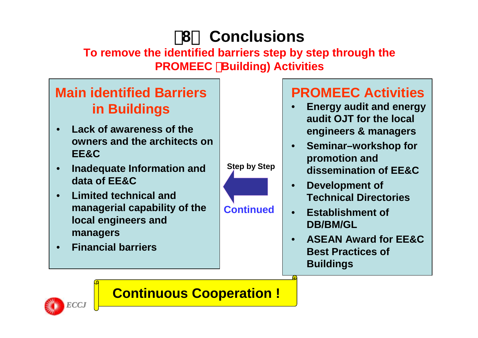## 【**8**】 **Conclusions**

**To remove the identified barriers step by step through the PROMEEC** (**Building) Activities**

### **Main identified Barriers in Buildings**

- • **Lack of awareness of the owners and the architects on EE&C**
- • **Inadequate Information and data of EE&C**
- • **Limited technical and managerial capability of the local engineers and managers**
- •**Financial barriers**



### **PROMEEC Activities**

- • **Energy audit and energy audit OJT for the local engineers & managers**
- • **Seminar–workshop for promotion and dissemination of EE&C**
- • **Development of Technical Directories**
- • **Establishment of DB/BM/GL**
- • **ASEAN Award for EE&C Best Practices of Buildings**



### **Continuous Cooperation !**